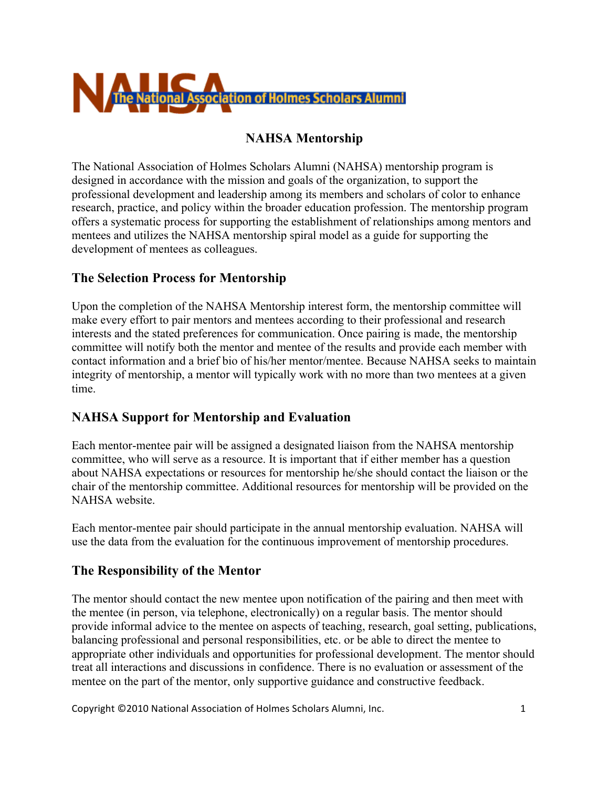

## **NAHSA Mentorship**

The National Association of Holmes Scholars Alumni (NAHSA) mentorship program is designed in accordance with the mission and goals of the organization, to support the professional development and leadership among its members and scholars of color to enhance research, practice, and policy within the broader education profession. The mentorship program offers a systematic process for supporting the establishment of relationships among mentors and mentees and utilizes the NAHSA mentorship spiral model as a guide for supporting the development of mentees as colleagues.

### **The Selection Process for Mentorship**

Upon the completion of the NAHSA Mentorship interest form, the mentorship committee will make every effort to pair mentors and mentees according to their professional and research interests and the stated preferences for communication. Once pairing is made, the mentorship committee will notify both the mentor and mentee of the results and provide each member with contact information and a brief bio of his/her mentor/mentee. Because NAHSA seeks to maintain integrity of mentorship, a mentor will typically work with no more than two mentees at a given time.

## **NAHSA Support for Mentorship and Evaluation**

Each mentor-mentee pair will be assigned a designated liaison from the NAHSA mentorship committee, who will serve as a resource. It is important that if either member has a question about NAHSA expectations or resources for mentorship he/she should contact the liaison or the chair of the mentorship committee. Additional resources for mentorship will be provided on the NAHSA website.

Each mentor-mentee pair should participate in the annual mentorship evaluation. NAHSA will use the data from the evaluation for the continuous improvement of mentorship procedures.

## **The Responsibility of the Mentor**

The mentor should contact the new mentee upon notification of the pairing and then meet with the mentee (in person, via telephone, electronically) on a regular basis. The mentor should provide informal advice to the mentee on aspects of teaching, research, goal setting, publications, balancing professional and personal responsibilities, etc. or be able to direct the mentee to appropriate other individuals and opportunities for professional development. The mentor should treat all interactions and discussions in confidence. There is no evaluation or assessment of the mentee on the part of the mentor, only supportive guidance and constructive feedback.

Copyright\*©2010\*National\*Association\*of\*Holmes\*Scholars\*Alumni,\*Inc.\*\*\*\*\*\*\*\*\*\*\*\*\*\*\*\*\*\*\*\*\*\*\*\*\*\*\*\*\*\*\*\*\*\*\*\*\*\*\*\*\*\*\*\*\*\*\*\*\*\*\*\*\*\*\*1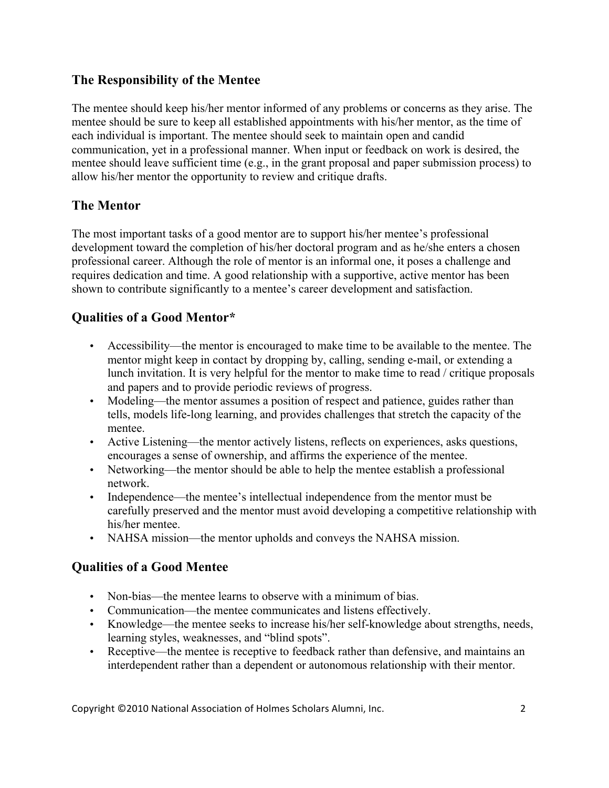## **The Responsibility of the Mentee**

The mentee should keep his/her mentor informed of any problems or concerns as they arise. The mentee should be sure to keep all established appointments with his/her mentor, as the time of each individual is important. The mentee should seek to maintain open and candid communication, yet in a professional manner. When input or feedback on work is desired, the mentee should leave sufficient time (e.g., in the grant proposal and paper submission process) to allow his/her mentor the opportunity to review and critique drafts.

## **The Mentor**

The most important tasks of a good mentor are to support his/her mentee's professional development toward the completion of his/her doctoral program and as he/she enters a chosen professional career. Although the role of mentor is an informal one, it poses a challenge and requires dedication and time. A good relationship with a supportive, active mentor has been shown to contribute significantly to a mentee's career development and satisfaction.

# **Qualities of a Good Mentor\***

- Accessibility—the mentor is encouraged to make time to be available to the mentee. The mentor might keep in contact by dropping by, calling, sending e-mail, or extending a lunch invitation. It is very helpful for the mentor to make time to read / critique proposals and papers and to provide periodic reviews of progress.
- Modeling—the mentor assumes a position of respect and patience, guides rather than tells, models life-long learning, and provides challenges that stretch the capacity of the mentee.
- Active Listening—the mentor actively listens, reflects on experiences, asks questions, encourages a sense of ownership, and affirms the experience of the mentee.
- Networking—the mentor should be able to help the mentee establish a professional network.
- Independence—the mentee's intellectual independence from the mentor must be carefully preserved and the mentor must avoid developing a competitive relationship with his/her mentee.
- NAHSA mission—the mentor upholds and conveys the NAHSA mission.

## **Qualities of a Good Mentee**

- Non-bias—the mentee learns to observe with a minimum of bias.
- Communication—the mentee communicates and listens effectively.
- Knowledge—the mentee seeks to increase his/her self-knowledge about strengths, needs, learning styles, weaknesses, and "blind spots".
- Receptive—the mentee is receptive to feedback rather than defensive, and maintains an interdependent rather than a dependent or autonomous relationship with their mentor.

Copyright\*©2010\*National\*Association\*of\*Holmes\*Scholars\*Alumni,\*Inc.\*\*\*\*\*\*\*\*\*\*\*\*\*\*\*\*\*\*\*\*\*\*\*\*\*\*\*\*\*\*\*\*\*\*\*\*\*\*\*\*\*\*\*\*\*\*\*\*\*\*\*\*\*\*\*2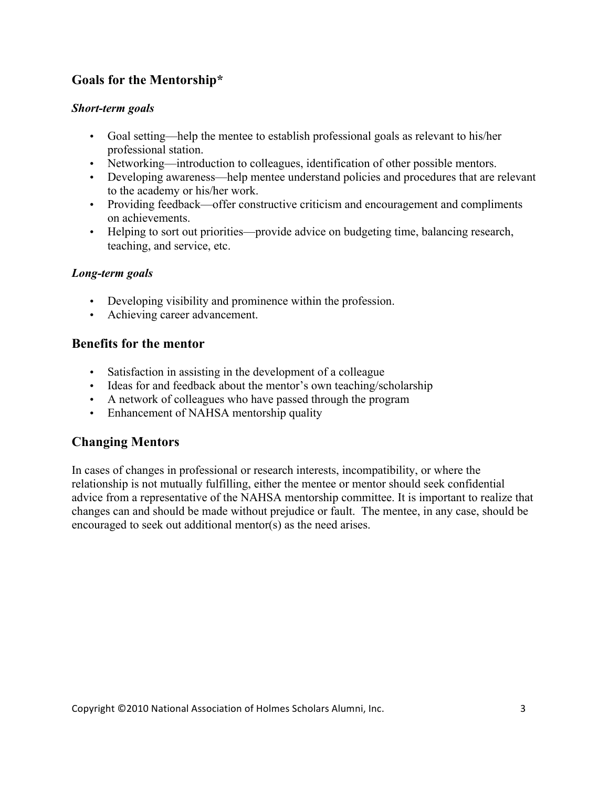# **Goals for the Mentorship\***

#### *Short-term goals*

- Goal setting—help the mentee to establish professional goals as relevant to his/her professional station.
- Networking—introduction to colleagues, identification of other possible mentors.
- Developing awareness—help mentee understand policies and procedures that are relevant to the academy or his/her work.
- Providing feedback—offer constructive criticism and encouragement and compliments on achievements.
- Helping to sort out priorities—provide advice on budgeting time, balancing research, teaching, and service, etc.

#### *Long-term goals*

- Developing visibility and prominence within the profession.
- Achieving career advancement.

### **Benefits for the mentor**

- Satisfaction in assisting in the development of a colleague
- Ideas for and feedback about the mentor's own teaching/scholarship
- A network of colleagues who have passed through the program
- Enhancement of NAHSA mentorship quality

## **Changing Mentors**

In cases of changes in professional or research interests, incompatibility, or where the relationship is not mutually fulfilling, either the mentee or mentor should seek confidential advice from a representative of the NAHSA mentorship committee. It is important to realize that changes can and should be made without prejudice or fault. The mentee, in any case, should be encouraged to seek out additional mentor(s) as the need arises.